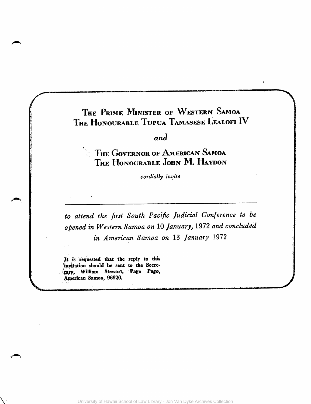#### THE PRIME MINISTER OF WESTERN SAMOA THE HONOURABLE TUPUA TAMASESE LEALOFI IV

*and* 

 $\sim$  The Governor of American Samoa THE HONOURABLE JOHN M. HAYDON

*cordially inl!ite* 

*to attend the first South Pacific Judicial Conference to be -opened in Western Samoa on* 10 *January,* 197.2 *and concluded in* Americ~n *Samoa on* 13 *January 1972* 

It is requested that the reply to this invitation should be sent to the Secretary, William Stewart, Pago Pago, American Samoa, 96920.

 $\sqrt{2}$ 

University of Hawaii School of Law Library - Jon Van Dyke Archives Collection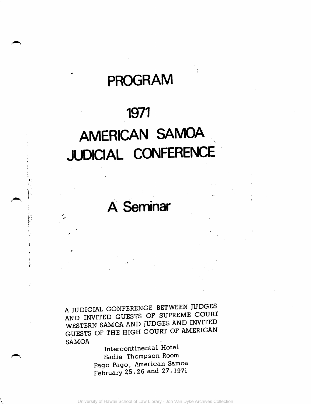## **PROGRAM**

### **1971**

# **AMERICAN** SAMOA **JUDICIAL CONFERENCE**

**A Seminar** 

A JUDICIAL CONFERENCE BETWEEN JUDGES AND INVITED GUESTS OF SUPREME COURT WESTERN SAMOA AND JUDGES AND INVITED GUESTS OF THE HIGH COURT OF AMERICAN SAMOA

Intercontinental Hotel Sadie Thompson Room Pago Pago, American Samoa February 25, 26 and 27, 1971

 $\overline{\phantom{0}}$ 

i. ~:

 $~\bullet$  .  $\mathbf r$  . (

.

,

i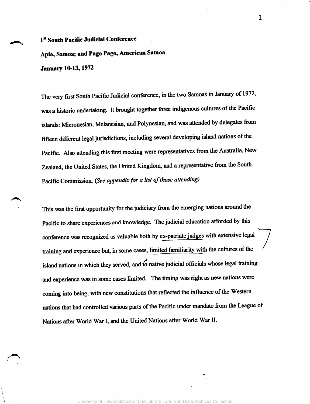#### 1st South Pacific Judicial Conference

Apia, Samoa; and Pago Pago, American Samoa January 10-13, 1972

The very frrst South Pacific Judicial conference, in the two Samoas in January of 1972, was a historic undertaking. It brought together three indigenous cultures of the Pacific islands: Micronesian, Melanesian, and Polynesian, and was attended by delegates from fifteen different legal jurisdictions, including several developing island nations of the Pacific. Also attending this frrst meeting were representatives from the Australia, New Zealand, the United States, the United Kingdom, and a representative from the South Pacific Commission. *(See appendix for a list of those attending)* 

This was the frrst opportunity for the judiciary from the emerging nations around the Pacific to share experiences and knowledge. The judicial education afforded by this conference was recognized as valuable both by ex-patriate judges with extensive legal training and experience but, in some cases, limited familiarity with the cultures of the island nations in which they served, and to native judicial officials whose legal training and experience was in some cases limited. The timing was right as new nations were coming into being, with new constitutions that reflected the influence of the Western nations that had controlled various parts of the Pacific under mandate from the League of Nations after World War I, and the United Nations after World War II.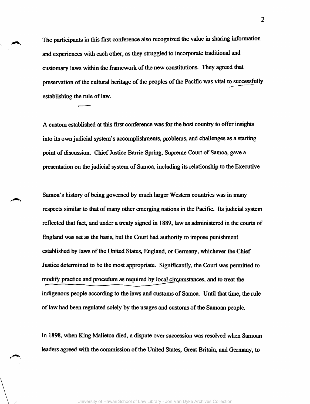The participants in this first conference also recognized the value in sharing information and experiences with each other, as they struggled to incorporate traditional and customary laws within the framework of the new constitutions. They agreed that preservation of the cultural heritage of the peoples of the Pacific was vital to successfully establishing the rule of law.

A custom established at this first conference was for the host country to offer insights into its own judicial system's accomplishments, problems, and challenges as a starting point of discussion. Chief Justice Barrie Spring, Supreme Court of Samoa, gave a presentation on the judicial system of Samoa, including its relationship to the Executive.

Samoa's history of being governed by much larger Western countries was in many respects similar to that of many other emerging nations in the Pacific. Its judicial system reflected that fact, and under a treaty signed in 1889, law as administered in the courts of England was set as the basis, but the Court had authority to impose punishment established by laws of the United States, England, or Germany, whichever the Chief Justice detennined to be the most appropriate. Significantly, the Court was permitted io modify practice and procedure as required by local circumstances, and to treat the indigenous people according to the laws and customs of Samoa. Until that time, the rule of law had been regulated solely by the usages and customs of the Samoan people.

In 1898, when King Malietoa died, a dispute over succession was resolved when Samoan leaders agreed with the commission of the United States, Great Britain, and Germany, to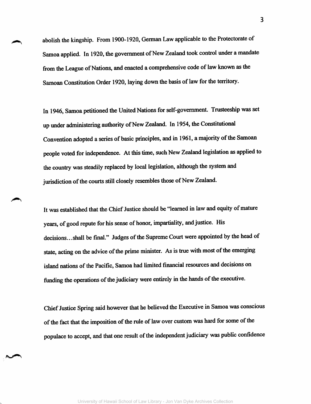abolish the kingship. From 1900-1920, German Law applicable to the Protectorate of Samoa applied. In 1920, the government of New Zealand took control under a mandate from the League of Nations, and enacted a comprehensive code of law known as the Samoan Constitution Order 1920, laying down the basis of law for the territory.

In 1946, Samoa petitioned the United Nations for self-government. Trusteeship was set up under administering authority of New Zealand. In 1954, the Constitutional Convention adopted a series of basic principles, and in 1961, a majority of the Samoan people voted for independence. At this time, such New Zealand legislation as applied to the country was steadily replaced by local legislation, although the system and jurisdiction of the courts still closely resembles those of New Zealand.

It was established that the Chief Justice should be "learned in law and equity of mature years, of good repute for his sense of honor, impartiality, and justice. His decisions...shall be final." Judges of the Supreme Court were appointed by the head of state, acting on the advice of the prime minister. As is true with most of the emerging island nations of the Pacific, Samoa had limited financial resources and decisions on funding the operations of the judiciary were entirely in the hands of the executive.

Chief Justice Spring said however that he believed the Executive in Samoa was conscious of the fact that the imposition of the rule of law over custom was hard for some of the populace to accept, and that one result of the independent judiciary was public confidence

.~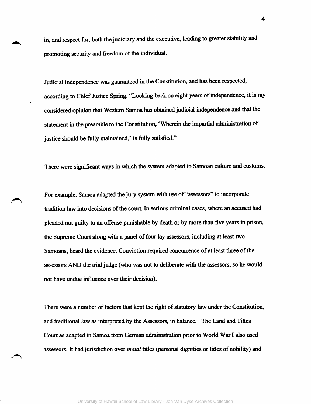in, and respect for, both the judiciary and the executive, leading to greater stability and promoting security and freedom of the individual.

Judicial independence was guaranteed in the Constitution, and has been respected, according to Chief Justice Spring. "Looking back on eight years of independence, it is my considered opinion that Western Samoa has obtained judicial independence and that the statement in the preamble to the Constitution, 'Wherein the impartial administration of justice should be fully maintained,' is fully satisfied."

There were significant ways in which the system adapted to Samoan culture and customs.

For example, Samoa adapted the jury system with use of "assessors" to incorporate tradition law into decisions of the court. In serious criminal cases, where an accused had pleaded not guilty to an offense punishable by death or by more than five years in prison, the Supreme Court along with a panel of four lay assessors, including at least two Samoans, heard the evidence. Conviction required concwrence of at least three of the assessors AND the trial judge (who was not to deliberate with the assessors, so he would not have undue influence over their decision).

There were a number of factors that kept the right of statutory law under the Constitution, and traditional law as interpreted by the Assessors, in balance. The Land and Titles Court as adapted in Samoa from German administration prior to World War I also used assessors. It had jurisdiction over *mata;* titles (personal dignities or titles of nobility) and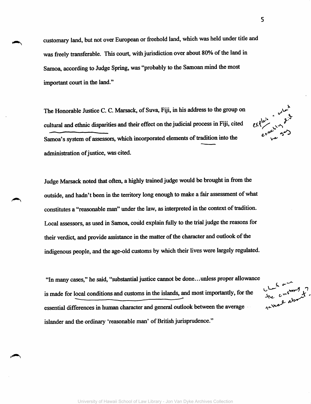customary land, but not over European or freehold land, which was held under title and was freely transferable. This court, with jurisdiction over about 80% of the land in Samoa, according to Judge Spring, was "probably to the Samoan mind the most important court in the land."

The Honorable Justice C. C. Marsack, of Suva, Fiji, in his address to the group on cultural and ethnic disparities and their effect on the judicial process in Fiji, cited Samoa's system of assessors, which incorporated elements of tradition into the administration of justice, was cited.

Judge Marsack noted that often, a highly trained judge would be brought in from the outside, and hadn't been in the territory long enough to make a fair assessment of what constitutes a "reasonable man" under the law, as interpreted in the context of tradition. Local assessors, as used in Samoa, could explain fully to the trial judge the reasons for their verdict, and provide assistance in the matter of the character and outlook of the indigenous people, and the age-old customs by which their lives were largely regulated.

"In many cases," he said, "substantial justice cannot be done ... unless proper allowance is made for local conditions and customs in the islands, and most importantly, for the essential differences in human character and general outlook between the average islander and the ordinary 'reasonable man' of British jurisprudence."

the customs of

 $e^{x}e^{i\alpha x}$   $e^{x}e^{i\alpha x}$ <br> $e^{x}e^{i\alpha x}$   $e^{i\alpha x}$